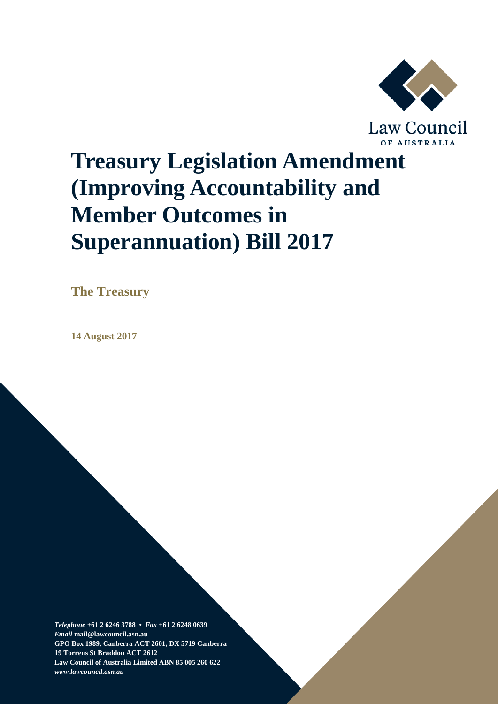

# **Treasury Legislation Amendment (Improving Accountability and Member Outcomes in Superannuation) Bill 2017**

**The Treasury**

**14 August 2017**

*Telephone* **+61 2 6246 3788 •** *Fax* **+61 2 6248 0639**  *Email* **mail@lawcouncil.asn.au GPO Box 1989, Canberra ACT 2601, DX 5719 Canberra 19 Torrens St Braddon ACT 2612 Law Council of Australia Limited ABN 85 005 260 622** *www.lawcouncil.asn.au*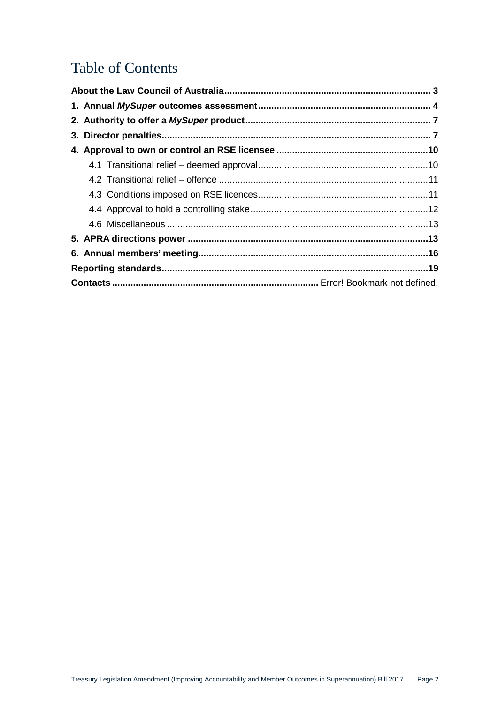# Table of Contents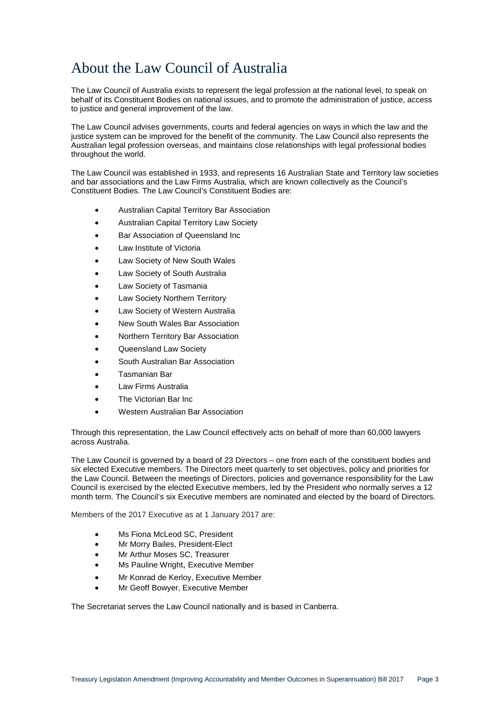# <span id="page-2-0"></span>About the Law Council of Australia

The Law Council of Australia exists to represent the legal profession at the national level, to speak on behalf of its Constituent Bodies on national issues, and to promote the administration of justice, access to justice and general improvement of the law.

The Law Council advises governments, courts and federal agencies on ways in which the law and the justice system can be improved for the benefit of the community. The Law Council also represents the Australian legal profession overseas, and maintains close relationships with legal professional bodies throughout the world.

The Law Council was established in 1933, and represents 16 Australian State and Territory law societies and bar associations and the Law Firms Australia, which are known collectively as the Council's Constituent Bodies. The Law Council's Constituent Bodies are:

- Australian Capital Territory Bar Association
- Australian Capital Territory Law Society
- Bar Association of Queensland Inc
- Law Institute of Victoria
- Law Society of New South Wales
- Law Society of South Australia
- Law Society of Tasmania
- Law Society Northern Territory
- Law Society of Western Australia
- New South Wales Bar Association
- Northern Territory Bar Association
- Queensland Law Society
- South Australian Bar Association
- Tasmanian Bar
- Law Firms Australia
- The Victorian Bar Inc
- Western Australian Bar Association

Through this representation, the Law Council effectively acts on behalf of more than 60,000 lawyers across Australia.

The Law Council is governed by a board of 23 Directors – one from each of the constituent bodies and six elected Executive members. The Directors meet quarterly to set objectives, policy and priorities for the Law Council. Between the meetings of Directors, policies and governance responsibility for the Law Council is exercised by the elected Executive members, led by the President who normally serves a 12 month term. The Council's six Executive members are nominated and elected by the board of Directors.

Members of the 2017 Executive as at 1 January 2017 are:

- Ms Fiona McLeod SC, President
- Mr Morry Bailes, President-Elect
- Mr Arthur Moses SC, Treasurer
- Ms Pauline Wright, Executive Member
- Mr Konrad de Kerloy, Executive Member
- Mr Geoff Bowyer, Executive Member

The Secretariat serves the Law Council nationally and is based in Canberra.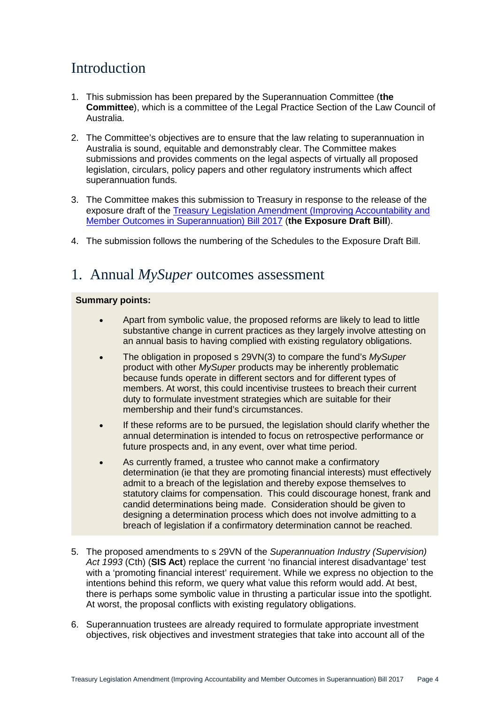# Introduction

- 1. This submission has been prepared by the Superannuation Committee (**the Committee**), which is a committee of the Legal Practice Section of the Law Council of Australia.
- 2. The Committee's objectives are to ensure that the law relating to superannuation in Australia is sound, equitable and demonstrably clear. The Committee makes submissions and provides comments on the legal aspects of virtually all proposed legislation, circulars, policy papers and other regulatory instruments which affect superannuation funds.
- 3. The Committee makes this submission to Treasury in response to the release of the exposure draft of the [Treasury Legislation Amendment \(Improving Accountability and](https://treasury.gov.au/ConsultationsandReviews/Consultations/2017/Improving-Accountability-and-Member-Outcomes-in-Superannuation)  [Member Outcomes in Superannuation\) Bill 2017](https://treasury.gov.au/ConsultationsandReviews/Consultations/2017/Improving-Accountability-and-Member-Outcomes-in-Superannuation) (**the Exposure Draft Bill**).
- 4. The submission follows the numbering of the Schedules to the Exposure Draft Bill.

### <span id="page-3-0"></span>1. Annual *MySuper* outcomes assessment

- Apart from symbolic value, the proposed reforms are likely to lead to little substantive change in current practices as they largely involve attesting on an annual basis to having complied with existing regulatory obligations.
- The obligation in proposed s 29VN(3) to compare the fund's *MySuper* product with other *MySuper* products may be inherently problematic because funds operate in different sectors and for different types of members. At worst, this could incentivise trustees to breach their current duty to formulate investment strategies which are suitable for their membership and their fund's circumstances.
- If these reforms are to be pursued, the legislation should clarify whether the annual determination is intended to focus on retrospective performance or future prospects and, in any event, over what time period.
- As currently framed, a trustee who cannot make a confirmatory determination (ie that they are promoting financial interests) must effectively admit to a breach of the legislation and thereby expose themselves to statutory claims for compensation. This could discourage honest, frank and candid determinations being made. Consideration should be given to designing a determination process which does not involve admitting to a breach of legislation if a confirmatory determination cannot be reached.
- 5. The proposed amendments to s 29VN of the *Superannuation Industry (Supervision) Act 1993* (Cth) (**SIS Act**) replace the current 'no financial interest disadvantage' test with a 'promoting financial interest' requirement. While we express no objection to the intentions behind this reform, we query what value this reform would add. At best, there is perhaps some symbolic value in thrusting a particular issue into the spotlight. At worst, the proposal conflicts with existing regulatory obligations.
- 6. Superannuation trustees are already required to formulate appropriate investment objectives, risk objectives and investment strategies that take into account all of the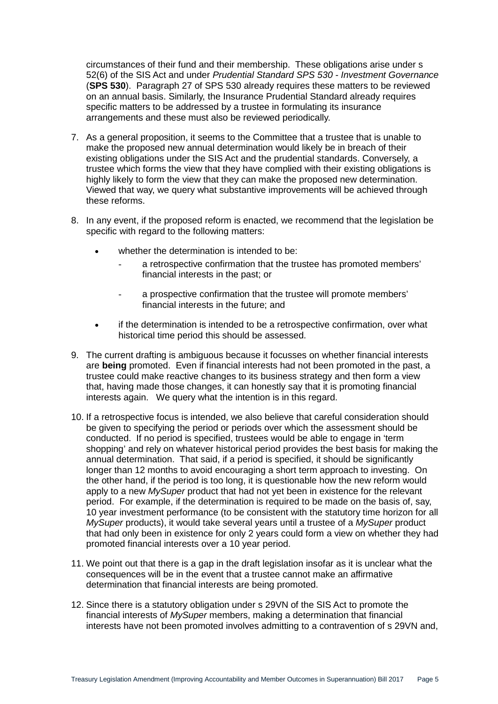circumstances of their fund and their membership. These obligations arise under s 52(6) of the SIS Act and under *Prudential Standard SPS 530 - Investment Governance* (**SPS 530**). Paragraph 27 of SPS 530 already requires these matters to be reviewed on an annual basis. Similarly, the Insurance Prudential Standard already requires specific matters to be addressed by a trustee in formulating its insurance arrangements and these must also be reviewed periodically.

- 7. As a general proposition, it seems to the Committee that a trustee that is unable to make the proposed new annual determination would likely be in breach of their existing obligations under the SIS Act and the prudential standards. Conversely, a trustee which forms the view that they have complied with their existing obligations is highly likely to form the view that they can make the proposed new determination. Viewed that way, we query what substantive improvements will be achieved through these reforms.
- 8. In any event, if the proposed reform is enacted, we recommend that the legislation be specific with regard to the following matters:
	- whether the determination is intended to be:
		- a retrospective confirmation that the trustee has promoted members' financial interests in the past; or
		- a prospective confirmation that the trustee will promote members' financial interests in the future; and
	- if the determination is intended to be a retrospective confirmation, over what historical time period this should be assessed.
- 9. The current drafting is ambiguous because it focusses on whether financial interests are **being** promoted. Even if financial interests had not been promoted in the past, a trustee could make reactive changes to its business strategy and then form a view that, having made those changes, it can honestly say that it is promoting financial interests again. We query what the intention is in this regard.
- 10. If a retrospective focus is intended, we also believe that careful consideration should be given to specifying the period or periods over which the assessment should be conducted. If no period is specified, trustees would be able to engage in 'term shopping' and rely on whatever historical period provides the best basis for making the annual determination. That said, if a period is specified, it should be significantly longer than 12 months to avoid encouraging a short term approach to investing. On the other hand, if the period is too long, it is questionable how the new reform would apply to a new *MySuper* product that had not yet been in existence for the relevant period. For example, if the determination is required to be made on the basis of, say, 10 year investment performance (to be consistent with the statutory time horizon for all *MySuper* products), it would take several years until a trustee of a *MySuper* product that had only been in existence for only 2 years could form a view on whether they had promoted financial interests over a 10 year period.
- 11. We point out that there is a gap in the draft legislation insofar as it is unclear what the consequences will be in the event that a trustee cannot make an affirmative determination that financial interests are being promoted.
- 12. Since there is a statutory obligation under s 29VN of the SIS Act to promote the financial interests of *MySuper* members, making a determination that financial interests have not been promoted involves admitting to a contravention of s 29VN and,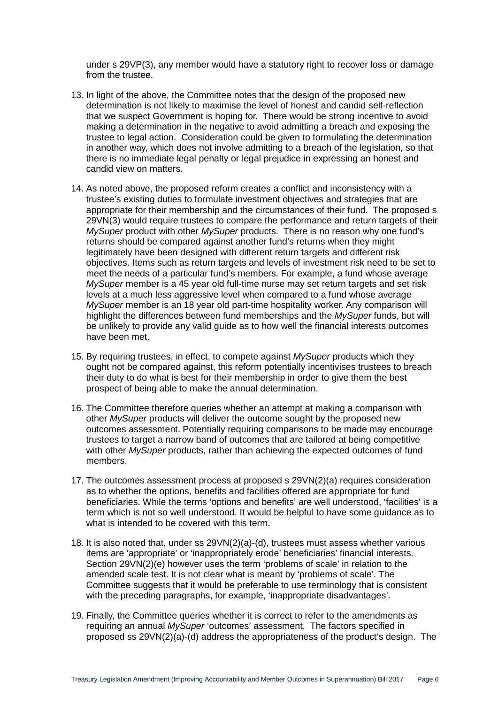under s 29VP(3), any member would have a statutory right to recover loss or damage from the trustee.

- 13. In light of the above, the Committee notes that the design of the proposed new determination is not likely to maximise the level of honest and candid self-reflection that we suspect Government is hoping for. There would be strong incentive to avoid making a determination in the negative to avoid admitting a breach and exposing the trustee to legal action. Consideration could be given to formulating the determination in another way, which does not involve admitting to a breach of the legislation, so that there is no immediate legal penalty or legal prejudice in expressing an honest and candid view on matters.
- 14. As noted above, the proposed reform creates a conflict and inconsistency with a trustee's existing duties to formulate investment objectives and strategies that are appropriate for their membership and the circumstances of their fund. The proposed s 29VN(3) would require trustees to compare the performance and return targets of their *MySuper* product with other *MySuper* products. There is no reason why one fund's returns should be compared against another fund's returns when they might legitimately have been designed with different return targets and different risk objectives. Items such as return targets and levels of investment risk need to be set to meet the needs of a particular fund's members. For example, a fund whose average *MySuper* member is a 45 year old full-time nurse may set return targets and set risk levels at a much less aggressive level when compared to a fund whose average *MySuper* member is an 18 year old part-time hospitality worker. Any comparison will highlight the differences between fund memberships and the *MySuper* funds, but will be unlikely to provide any valid guide as to how well the financial interests outcomes have been met.
- 15. By requiring trustees, in effect, to compete against *MySuper* products which they ought not be compared against, this reform potentially incentivises trustees to breach their duty to do what is best for their membership in order to give them the best prospect of being able to make the annual determination.
- 16. The Committee therefore queries whether an attempt at making a comparison with other *MySuper* products will deliver the outcome sought by the proposed new outcomes assessment. Potentially requiring comparisons to be made may encourage trustees to target a narrow band of outcomes that are tailored at being competitive with other *MySuper* products, rather than achieving the expected outcomes of fund members.
- 17. The outcomes assessment process at proposed s 29VN(2)(a) requires consideration as to whether the options, benefits and facilities offered are appropriate for fund beneficiaries. While the terms 'options and benefits' are well understood, 'facilities' is a term which is not so well understood. It would be helpful to have some guidance as to what is intended to be covered with this term.
- 18. It is also noted that, under ss 29VN(2)(a)-(d), trustees must assess whether various items are 'appropriate' or 'inappropriately erode' beneficiaries' financial interests. Section 29VN(2)(e) however uses the term 'problems of scale' in relation to the amended scale test. It is not clear what is meant by 'problems of scale'. The Committee suggests that it would be preferable to use terminology that is consistent with the preceding paragraphs, for example, 'inappropriate disadvantages'.
- 19. Finally, the Committee queries whether it is correct to refer to the amendments as requiring an annual *MySuper* 'outcomes' assessment. The factors specified in proposed ss 29VN(2)(a)-(d) address the appropriateness of the product's design. The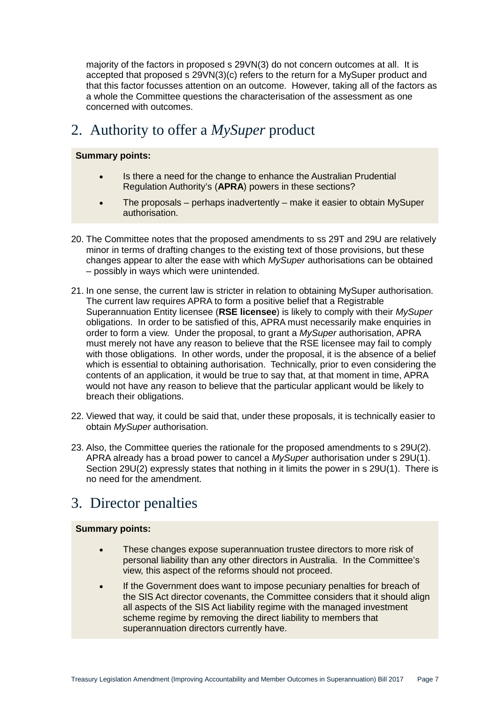majority of the factors in proposed s 29VN(3) do not concern outcomes at all. It is accepted that proposed s 29VN(3)(c) refers to the return for a MySuper product and that this factor focusses attention on an outcome. However, taking all of the factors as a whole the Committee questions the characterisation of the assessment as one concerned with outcomes.

# <span id="page-6-0"></span>2. Authority to offer a *MySuper* product

#### **Summary points:**

- Is there a need for the change to enhance the Australian Prudential Regulation Authority's (**APRA**) powers in these sections?
- The proposals perhaps inadvertently make it easier to obtain MySuper authorisation.
- 20. The Committee notes that the proposed amendments to ss 29T and 29U are relatively minor in terms of drafting changes to the existing text of those provisions, but these changes appear to alter the ease with which *MySuper* authorisations can be obtained – possibly in ways which were unintended.
- 21. In one sense, the current law is stricter in relation to obtaining MySuper authorisation. The current law requires APRA to form a positive belief that a Registrable Superannuation Entity licensee (**RSE licensee**) is likely to comply with their *MySuper* obligations. In order to be satisfied of this, APRA must necessarily make enquiries in order to form a view. Under the proposal, to grant a *MySuper* authorisation, APRA must merely not have any reason to believe that the RSE licensee may fail to comply with those obligations. In other words, under the proposal, it is the absence of a belief which is essential to obtaining authorisation. Technically, prior to even considering the contents of an application, it would be true to say that, at that moment in time, APRA would not have any reason to believe that the particular applicant would be likely to breach their obligations.
- 22. Viewed that way, it could be said that, under these proposals, it is technically easier to obtain *MySuper* authorisation.
- 23. Also, the Committee queries the rationale for the proposed amendments to s 29U(2). APRA already has a broad power to cancel a *MySuper* authorisation under s 29U(1). Section 29U(2) expressly states that nothing in it limits the power in s 29U(1). There is no need for the amendment.

### <span id="page-6-1"></span>3. Director penalties

- These changes expose superannuation trustee directors to more risk of personal liability than any other directors in Australia. In the Committee's view, this aspect of the reforms should not proceed.
- If the Government does want to impose pecuniary penalties for breach of the SIS Act director covenants, the Committee considers that it should align all aspects of the SIS Act liability regime with the managed investment scheme regime by removing the direct liability to members that superannuation directors currently have.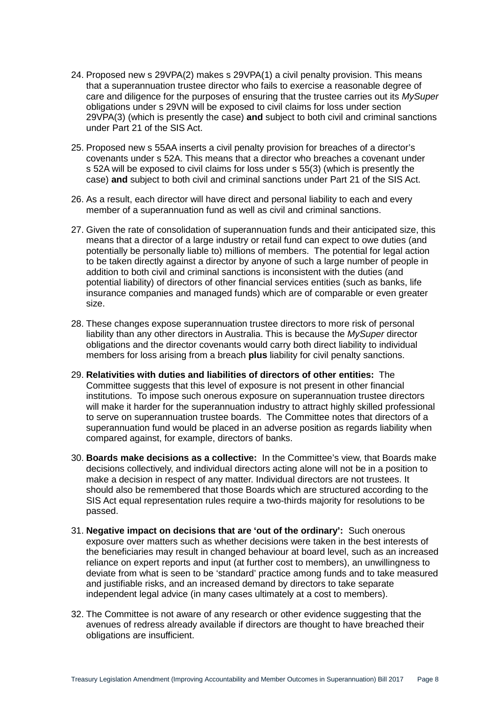- 24. Proposed new s 29VPA(2) makes s 29VPA(1) a civil penalty provision. This means that a superannuation trustee director who fails to exercise a reasonable degree of care and diligence for the purposes of ensuring that the trustee carries out its *MySuper* obligations under s 29VN will be exposed to civil claims for loss under section 29VPA(3) (which is presently the case) **and** subject to both civil and criminal sanctions under Part 21 of the SIS Act.
- 25. Proposed new s 55AA inserts a civil penalty provision for breaches of a director's covenants under s 52A. This means that a director who breaches a covenant under s 52A will be exposed to civil claims for loss under s 55(3) (which is presently the case) **and** subject to both civil and criminal sanctions under Part 21 of the SIS Act.
- 26. As a result, each director will have direct and personal liability to each and every member of a superannuation fund as well as civil and criminal sanctions.
- 27. Given the rate of consolidation of superannuation funds and their anticipated size, this means that a director of a large industry or retail fund can expect to owe duties (and potentially be personally liable to) millions of members. The potential for legal action to be taken directly against a director by anyone of such a large number of people in addition to both civil and criminal sanctions is inconsistent with the duties (and potential liability) of directors of other financial services entities (such as banks, life insurance companies and managed funds) which are of comparable or even greater size.
- 28. These changes expose superannuation trustee directors to more risk of personal liability than any other directors in Australia. This is because the *MySuper* director obligations and the director covenants would carry both direct liability to individual members for loss arising from a breach **plus** liability for civil penalty sanctions.
- 29. **Relativities with duties and liabilities of directors of other entities:** The Committee suggests that this level of exposure is not present in other financial institutions. To impose such onerous exposure on superannuation trustee directors will make it harder for the superannuation industry to attract highly skilled professional to serve on superannuation trustee boards. The Committee notes that directors of a superannuation fund would be placed in an adverse position as regards liability when compared against, for example, directors of banks.
- 30. **Boards make decisions as a collective:** In the Committee's view, that Boards make decisions collectively, and individual directors acting alone will not be in a position to make a decision in respect of any matter. Individual directors are not trustees. It should also be remembered that those Boards which are structured according to the SIS Act equal representation rules require a two-thirds majority for resolutions to be passed.
- 31. **Negative impact on decisions that are 'out of the ordinary':** Such onerous exposure over matters such as whether decisions were taken in the best interests of the beneficiaries may result in changed behaviour at board level, such as an increased reliance on expert reports and input (at further cost to members), an unwillingness to deviate from what is seen to be 'standard' practice among funds and to take measured and justifiable risks, and an increased demand by directors to take separate independent legal advice (in many cases ultimately at a cost to members).
- 32. The Committee is not aware of any research or other evidence suggesting that the avenues of redress already available if directors are thought to have breached their obligations are insufficient.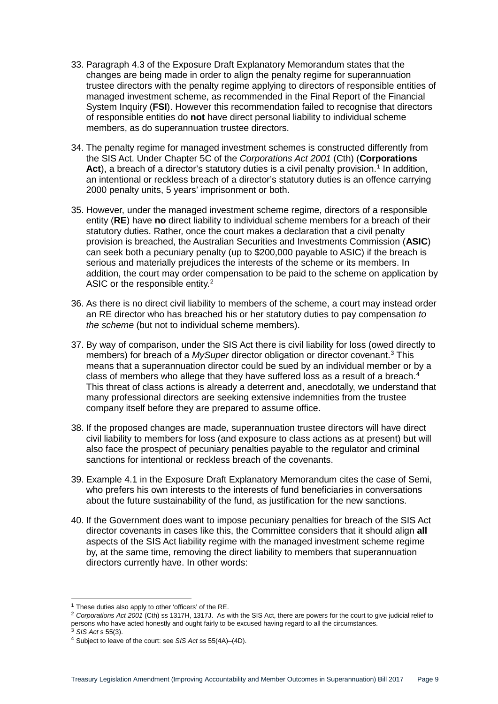- 33. Paragraph 4.3 of the Exposure Draft Explanatory Memorandum states that the changes are being made in order to align the penalty regime for superannuation trustee directors with the penalty regime applying to directors of responsible entities of managed investment scheme, as recommended in the Final Report of the Financial System Inquiry (**FSI**). However this recommendation failed to recognise that directors of responsible entities do **not** have direct personal liability to individual scheme members, as do superannuation trustee directors.
- 34. The penalty regime for managed investment schemes is constructed differently from the SIS Act. Under Chapter 5C of the *Corporations Act 2001* (Cth) (**Corporations**  Act), a breach of a director's statutory duties is a civil penalty provision.<sup>[1](#page-8-0)</sup> In addition, an intentional or reckless breach of a director's statutory duties is an offence carrying 2000 penalty units, 5 years' imprisonment or both.
- 35. However, under the managed investment scheme regime, directors of a responsible entity (**RE**) have **no** direct liability to individual scheme members for a breach of their statutory duties. Rather, once the court makes a declaration that a civil penalty provision is breached, the Australian Securities and Investments Commission (**ASIC**) can seek both a pecuniary penalty (up to \$200,000 payable to ASIC) if the breach is serious and materially prejudices the interests of the scheme or its members. In addition, the court may order compensation to be paid to the scheme on application by ASIC or the responsible entity.<sup>[2](#page-8-1)</sup>
- 36. As there is no direct civil liability to members of the scheme, a court may instead order an RE director who has breached his or her statutory duties to pay compensation *to the scheme* (but not to individual scheme members).
- 37. By way of comparison, under the SIS Act there is civil liability for loss (owed directly to members) for breach of a *MySuper* director obligation or director covenant.[3](#page-8-2) This means that a superannuation director could be sued by an individual member or by a class of members who allege that they have suffered loss as a result of a breach.<sup>[4](#page-8-3)</sup> This threat of class actions is already a deterrent and, anecdotally, we understand that many professional directors are seeking extensive indemnities from the trustee company itself before they are prepared to assume office.
- 38. If the proposed changes are made, superannuation trustee directors will have direct civil liability to members for loss (and exposure to class actions as at present) but will also face the prospect of pecuniary penalties payable to the regulator and criminal sanctions for intentional or reckless breach of the covenants.
- 39. Example 4.1 in the Exposure Draft Explanatory Memorandum cites the case of Semi, who prefers his own interests to the interests of fund beneficiaries in conversations about the future sustainability of the fund, as justification for the new sanctions.
- 40. If the Government does want to impose pecuniary penalties for breach of the SIS Act director covenants in cases like this, the Committee considers that it should align **all** aspects of the SIS Act liability regime with the managed investment scheme regime by, at the same time, removing the direct liability to members that superannuation directors currently have. In other words:

<span id="page-8-0"></span> $1$  These duties also apply to other 'officers' of the RE.

<span id="page-8-1"></span><sup>2</sup> *Corporations Act 2001* (Cth) ss 1317H, 1317J. As with the SIS Act, there are powers for the court to give judicial relief to persons who have acted honestly and ought fairly to be excused having regard to all the circumstances.

<span id="page-8-2"></span><sup>3</sup> *SIS Act* s 55(3).

<span id="page-8-3"></span><sup>4</sup> Subject to leave of the court: see *SIS Act* ss 55(4A)–(4D).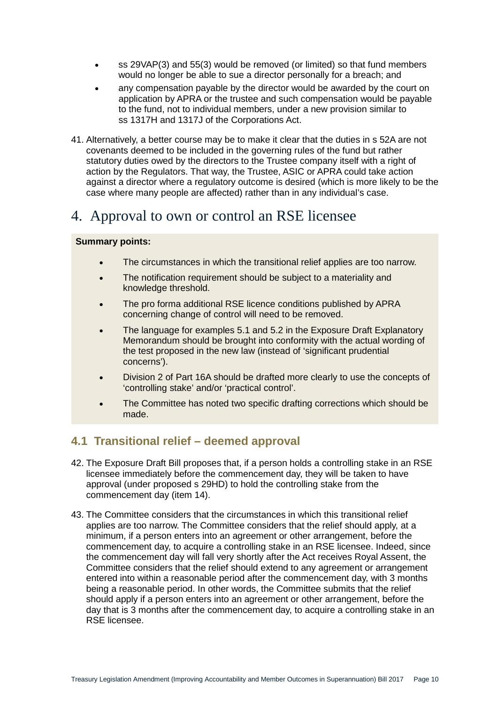- ss 29VAP(3) and 55(3) would be removed (or limited) so that fund members would no longer be able to sue a director personally for a breach; and
- any compensation payable by the director would be awarded by the court on application by APRA or the trustee and such compensation would be payable to the fund, not to individual members, under a new provision similar to ss 1317H and 1317J of the Corporations Act.
- 41. Alternatively, a better course may be to make it clear that the duties in s 52A are not covenants deemed to be included in the governing rules of the fund but rather statutory duties owed by the directors to the Trustee company itself with a right of action by the Regulators. That way, the Trustee, ASIC or APRA could take action against a director where a regulatory outcome is desired (which is more likely to be the case where many people are affected) rather than in any individual's case.

### <span id="page-9-0"></span>4. Approval to own or control an RSE licensee

#### **Summary points:**

- The circumstances in which the transitional relief applies are too narrow.
- The notification requirement should be subject to a materiality and knowledge threshold.
- The pro forma additional RSE licence conditions published by APRA concerning change of control will need to be removed.
- The language for examples 5.1 and 5.2 in the Exposure Draft Explanatory Memorandum should be brought into conformity with the actual wording of the test proposed in the new law (instead of 'significant prudential concerns').
- Division 2 of Part 16A should be drafted more clearly to use the concepts of 'controlling stake' and/or 'practical control'.
- The Committee has noted two specific drafting corrections which should be made.

### <span id="page-9-1"></span>**4.1 Transitional relief – deemed approval**

- 42. The Exposure Draft Bill proposes that, if a person holds a controlling stake in an RSE licensee immediately before the commencement day, they will be taken to have approval (under proposed s 29HD) to hold the controlling stake from the commencement day (item 14).
- 43. The Committee considers that the circumstances in which this transitional relief applies are too narrow. The Committee considers that the relief should apply, at a minimum, if a person enters into an agreement or other arrangement, before the commencement day, to acquire a controlling stake in an RSE licensee. Indeed, since the commencement day will fall very shortly after the Act receives Royal Assent, the Committee considers that the relief should extend to any agreement or arrangement entered into within a reasonable period after the commencement day, with 3 months being a reasonable period. In other words, the Committee submits that the relief should apply if a person enters into an agreement or other arrangement, before the day that is 3 months after the commencement day, to acquire a controlling stake in an RSE licensee.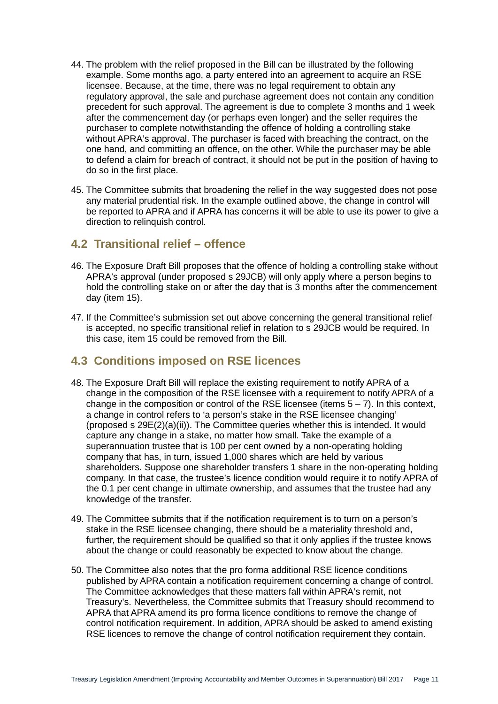- 44. The problem with the relief proposed in the Bill can be illustrated by the following example. Some months ago, a party entered into an agreement to acquire an RSE licensee. Because, at the time, there was no legal requirement to obtain any regulatory approval, the sale and purchase agreement does not contain any condition precedent for such approval. The agreement is due to complete 3 months and 1 week after the commencement day (or perhaps even longer) and the seller requires the purchaser to complete notwithstanding the offence of holding a controlling stake without APRA's approval. The purchaser is faced with breaching the contract, on the one hand, and committing an offence, on the other. While the purchaser may be able to defend a claim for breach of contract, it should not be put in the position of having to do so in the first place.
- 45. The Committee submits that broadening the relief in the way suggested does not pose any material prudential risk. In the example outlined above, the change in control will be reported to APRA and if APRA has concerns it will be able to use its power to give a direction to relinquish control.

#### <span id="page-10-0"></span>**4.2 Transitional relief – offence**

- 46. The Exposure Draft Bill proposes that the offence of holding a controlling stake without APRA's approval (under proposed s 29JCB) will only apply where a person begins to hold the controlling stake on or after the day that is 3 months after the commencement day (item 15).
- 47. If the Committee's submission set out above concerning the general transitional relief is accepted, no specific transitional relief in relation to s 29JCB would be required. In this case, item 15 could be removed from the Bill.

#### <span id="page-10-1"></span>**4.3 Conditions imposed on RSE licences**

- 48. The Exposure Draft Bill will replace the existing requirement to notify APRA of a change in the composition of the RSE licensee with a requirement to notify APRA of a change in the composition or control of the RSE licensee (items  $5 - 7$ ). In this context, a change in control refers to 'a person's stake in the RSE licensee changing' (proposed s 29E(2)(a)(ii)). The Committee queries whether this is intended. It would capture any change in a stake, no matter how small. Take the example of a superannuation trustee that is 100 per cent owned by a non-operating holding company that has, in turn, issued 1,000 shares which are held by various shareholders. Suppose one shareholder transfers 1 share in the non-operating holding company. In that case, the trustee's licence condition would require it to notify APRA of the 0.1 per cent change in ultimate ownership, and assumes that the trustee had any knowledge of the transfer.
- 49. The Committee submits that if the notification requirement is to turn on a person's stake in the RSE licensee changing, there should be a materiality threshold and, further, the requirement should be qualified so that it only applies if the trustee knows about the change or could reasonably be expected to know about the change.
- 50. The Committee also notes that the pro forma additional RSE licence conditions published by APRA contain a notification requirement concerning a change of control. The Committee acknowledges that these matters fall within APRA's remit, not Treasury's. Nevertheless, the Committee submits that Treasury should recommend to APRA that APRA amend its pro forma licence conditions to remove the change of control notification requirement. In addition, APRA should be asked to amend existing RSE licences to remove the change of control notification requirement they contain.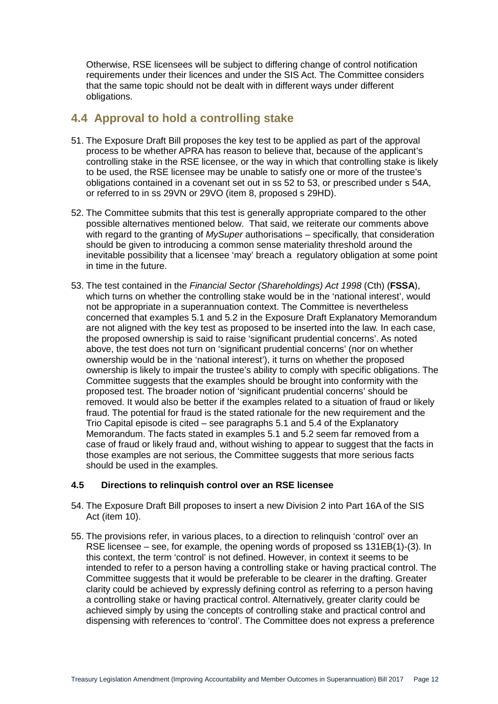Otherwise, RSE licensees will be subject to differing change of control notification requirements under their licences and under the SIS Act. The Committee considers that the same topic should not be dealt with in different ways under different obligations.

#### <span id="page-11-0"></span>**4.4 Approval to hold a controlling stake**

- 51. The Exposure Draft Bill proposes the key test to be applied as part of the approval process to be whether APRA has reason to believe that, because of the applicant's controlling stake in the RSE licensee, or the way in which that controlling stake is likely to be used, the RSE licensee may be unable to satisfy one or more of the trustee's obligations contained in a covenant set out in ss 52 to 53, or prescribed under s 54A, or referred to in ss 29VN or 29VO (item 8, proposed s 29HD).
- 52. The Committee submits that this test is generally appropriate compared to the other possible alternatives mentioned below. That said, we reiterate our comments above with regard to the granting of *MySuper* authorisations – specifically, that consideration should be given to introducing a common sense materiality threshold around the inevitable possibility that a licensee 'may' breach a regulatory obligation at some point in time in the future.
- 53. The test contained in the *Financial Sector (Shareholdings) Act 1998* (Cth) (**FSSA**), which turns on whether the controlling stake would be in the 'national interest', would not be appropriate in a superannuation context. The Committee is nevertheless concerned that examples 5.1 and 5.2 in the Exposure Draft Explanatory Memorandum are not aligned with the key test as proposed to be inserted into the law. In each case, the proposed ownership is said to raise 'significant prudential concerns'. As noted above, the test does not turn on 'significant prudential concerns' (nor on whether ownership would be in the 'national interest'), it turns on whether the proposed ownership is likely to impair the trustee's ability to comply with specific obligations. The Committee suggests that the examples should be brought into conformity with the proposed test. The broader notion of 'significant prudential concerns' should be removed. It would also be better if the examples related to a situation of fraud or likely fraud. The potential for fraud is the stated rationale for the new requirement and the Trio Capital episode is cited – see paragraphs 5.1 and 5.4 of the Explanatory Memorandum. The facts stated in examples 5.1 and 5.2 seem far removed from a case of fraud or likely fraud and, without wishing to appear to suggest that the facts in those examples are not serious, the Committee suggests that more serious facts should be used in the examples.

#### **4.5 Directions to relinquish control over an RSE licensee**

- 54. The Exposure Draft Bill proposes to insert a new Division 2 into Part 16A of the SIS Act (item 10).
- 55. The provisions refer, in various places, to a direction to relinquish 'control' over an RSE licensee – see, for example, the opening words of proposed ss 131EB(1)-(3). In this context, the term 'control' is not defined. However, in context it seems to be intended to refer to a person having a controlling stake or having practical control. The Committee suggests that it would be preferable to be clearer in the drafting. Greater clarity could be achieved by expressly defining control as referring to a person having a controlling stake or having practical control. Alternatively, greater clarity could be achieved simply by using the concepts of controlling stake and practical control and dispensing with references to 'control'. The Committee does not express a preference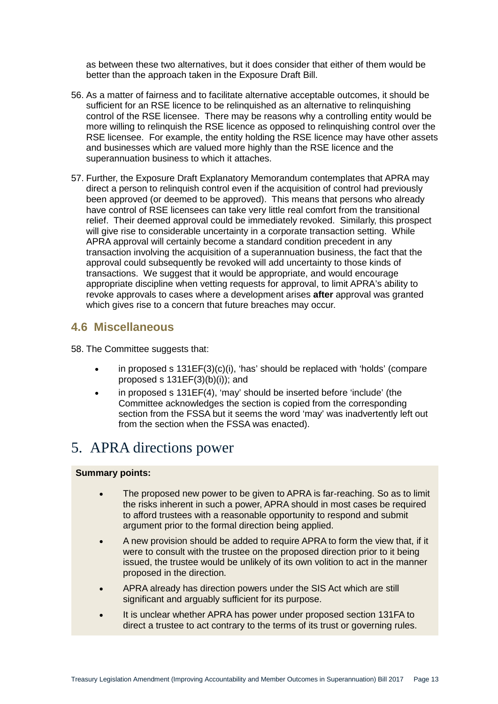as between these two alternatives, but it does consider that either of them would be better than the approach taken in the Exposure Draft Bill.

- 56. As a matter of fairness and to facilitate alternative acceptable outcomes, it should be sufficient for an RSE licence to be relinquished as an alternative to relinquishing control of the RSE licensee. There may be reasons why a controlling entity would be more willing to relinquish the RSE licence as opposed to relinquishing control over the RSE licensee. For example, the entity holding the RSE licence may have other assets and businesses which are valued more highly than the RSE licence and the superannuation business to which it attaches.
- 57. Further, the Exposure Draft Explanatory Memorandum contemplates that APRA may direct a person to relinquish control even if the acquisition of control had previously been approved (or deemed to be approved). This means that persons who already have control of RSE licensees can take very little real comfort from the transitional relief. Their deemed approval could be immediately revoked. Similarly, this prospect will give rise to considerable uncertainty in a corporate transaction setting. While APRA approval will certainly become a standard condition precedent in any transaction involving the acquisition of a superannuation business, the fact that the approval could subsequently be revoked will add uncertainty to those kinds of transactions. We suggest that it would be appropriate, and would encourage appropriate discipline when vetting requests for approval, to limit APRA's ability to revoke approvals to cases where a development arises **after** approval was granted which gives rise to a concern that future breaches may occur.

#### <span id="page-12-0"></span>**4.6 Miscellaneous**

58. The Committee suggests that:

- in proposed s 131EF(3)(c)(i), 'has' should be replaced with 'holds' (compare proposed s  $131EF(3)(b)(i)$ ; and
- in proposed s 131EF(4), 'may' should be inserted before 'include' (the Committee acknowledges the section is copied from the corresponding section from the FSSA but it seems the word 'may' was inadvertently left out from the section when the FSSA was enacted).

# <span id="page-12-1"></span>5. APRA directions power

- The proposed new power to be given to APRA is far-reaching. So as to limit the risks inherent in such a power, APRA should in most cases be required to afford trustees with a reasonable opportunity to respond and submit argument prior to the formal direction being applied.
- A new provision should be added to require APRA to form the view that, if it were to consult with the trustee on the proposed direction prior to it being issued, the trustee would be unlikely of its own volition to act in the manner proposed in the direction.
- APRA already has direction powers under the SIS Act which are still significant and arguably sufficient for its purpose.
- It is unclear whether APRA has power under proposed section 131FA to direct a trustee to act contrary to the terms of its trust or governing rules.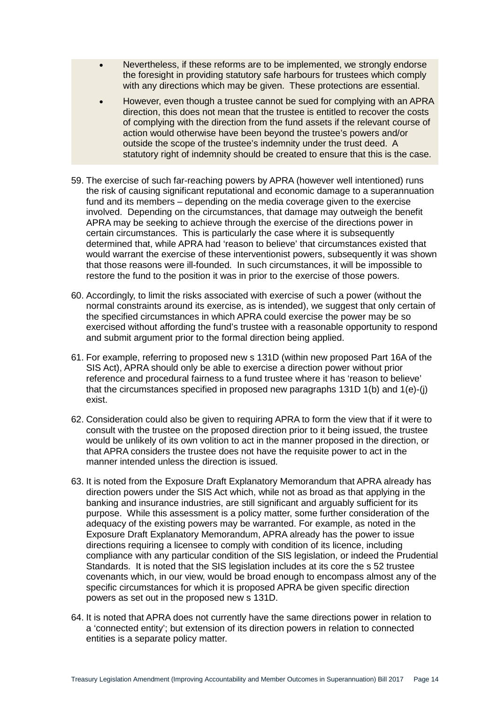- Nevertheless, if these reforms are to be implemented, we strongly endorse the foresight in providing statutory safe harbours for trustees which comply with any directions which may be given. These protections are essential.
- However, even though a trustee cannot be sued for complying with an APRA direction, this does not mean that the trustee is entitled to recover the costs of complying with the direction from the fund assets if the relevant course of action would otherwise have been beyond the trustee's powers and/or outside the scope of the trustee's indemnity under the trust deed. A statutory right of indemnity should be created to ensure that this is the case.
- 59. The exercise of such far-reaching powers by APRA (however well intentioned) runs the risk of causing significant reputational and economic damage to a superannuation fund and its members – depending on the media coverage given to the exercise involved. Depending on the circumstances, that damage may outweigh the benefit APRA may be seeking to achieve through the exercise of the directions power in certain circumstances. This is particularly the case where it is subsequently determined that, while APRA had 'reason to believe' that circumstances existed that would warrant the exercise of these interventionist powers, subsequently it was shown that those reasons were ill-founded. In such circumstances, it will be impossible to restore the fund to the position it was in prior to the exercise of those powers.
- 60. Accordingly, to limit the risks associated with exercise of such a power (without the normal constraints around its exercise, as is intended), we suggest that only certain of the specified circumstances in which APRA could exercise the power may be so exercised without affording the fund's trustee with a reasonable opportunity to respond and submit argument prior to the formal direction being applied.
- 61. For example, referring to proposed new s 131D (within new proposed Part 16A of the SIS Act), APRA should only be able to exercise a direction power without prior reference and procedural fairness to a fund trustee where it has 'reason to believe' that the circumstances specified in proposed new paragraphs 131D 1(b) and 1(e)-(j) exist.
- 62. Consideration could also be given to requiring APRA to form the view that if it were to consult with the trustee on the proposed direction prior to it being issued, the trustee would be unlikely of its own volition to act in the manner proposed in the direction, or that APRA considers the trustee does not have the requisite power to act in the manner intended unless the direction is issued.
- 63. It is noted from the Exposure Draft Explanatory Memorandum that APRA already has direction powers under the SIS Act which, while not as broad as that applying in the banking and insurance industries, are still significant and arguably sufficient for its purpose. While this assessment is a policy matter, some further consideration of the adequacy of the existing powers may be warranted. For example, as noted in the Exposure Draft Explanatory Memorandum, APRA already has the power to issue directions requiring a licensee to comply with condition of its licence, including compliance with any particular condition of the SIS legislation, or indeed the Prudential Standards. It is noted that the SIS legislation includes at its core the s 52 trustee covenants which, in our view, would be broad enough to encompass almost any of the specific circumstances for which it is proposed APRA be given specific direction powers as set out in the proposed new s 131D.
- 64. It is noted that APRA does not currently have the same directions power in relation to a 'connected entity'; but extension of its direction powers in relation to connected entities is a separate policy matter.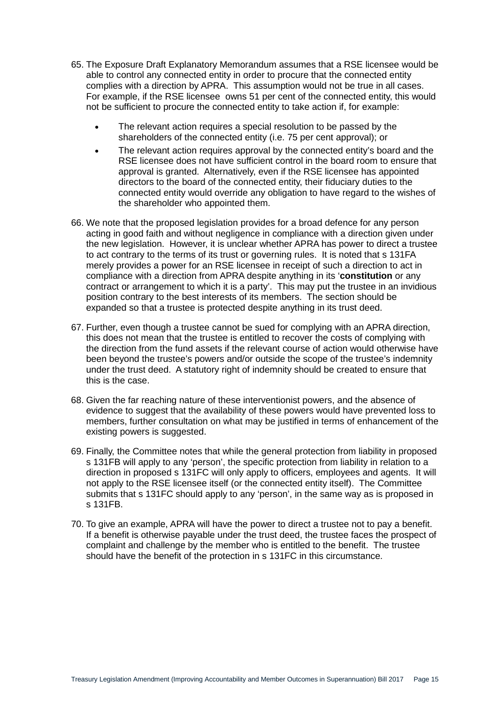- 65. The Exposure Draft Explanatory Memorandum assumes that a RSE licensee would be able to control any connected entity in order to procure that the connected entity complies with a direction by APRA. This assumption would not be true in all cases. For example, if the RSE licensee owns 51 per cent of the connected entity, this would not be sufficient to procure the connected entity to take action if, for example:
	- The relevant action requires a special resolution to be passed by the shareholders of the connected entity (i.e. 75 per cent approval); or
	- The relevant action requires approval by the connected entity's board and the RSE licensee does not have sufficient control in the board room to ensure that approval is granted. Alternatively, even if the RSE licensee has appointed directors to the board of the connected entity, their fiduciary duties to the connected entity would override any obligation to have regard to the wishes of the shareholder who appointed them.
- 66. We note that the proposed legislation provides for a broad defence for any person acting in good faith and without negligence in compliance with a direction given under the new legislation. However, it is unclear whether APRA has power to direct a trustee to act contrary to the terms of its trust or governing rules. It is noted that s 131FA merely provides a power for an RSE licensee in receipt of such a direction to act in compliance with a direction from APRA despite anything in its '**constitution** or any contract or arrangement to which it is a party'. This may put the trustee in an invidious position contrary to the best interests of its members. The section should be expanded so that a trustee is protected despite anything in its trust deed.
- 67. Further, even though a trustee cannot be sued for complying with an APRA direction, this does not mean that the trustee is entitled to recover the costs of complying with the direction from the fund assets if the relevant course of action would otherwise have been beyond the trustee's powers and/or outside the scope of the trustee's indemnity under the trust deed. A statutory right of indemnity should be created to ensure that this is the case.
- 68. Given the far reaching nature of these interventionist powers, and the absence of evidence to suggest that the availability of these powers would have prevented loss to members, further consultation on what may be justified in terms of enhancement of the existing powers is suggested.
- 69. Finally, the Committee notes that while the general protection from liability in proposed s 131FB will apply to any 'person', the specific protection from liability in relation to a direction in proposed s 131FC will only apply to officers, employees and agents. It will not apply to the RSE licensee itself (or the connected entity itself). The Committee submits that s 131FC should apply to any 'person', in the same way as is proposed in s 131FB.
- 70. To give an example, APRA will have the power to direct a trustee not to pay a benefit. If a benefit is otherwise payable under the trust deed, the trustee faces the prospect of complaint and challenge by the member who is entitled to the benefit. The trustee should have the benefit of the protection in s 131FC in this circumstance.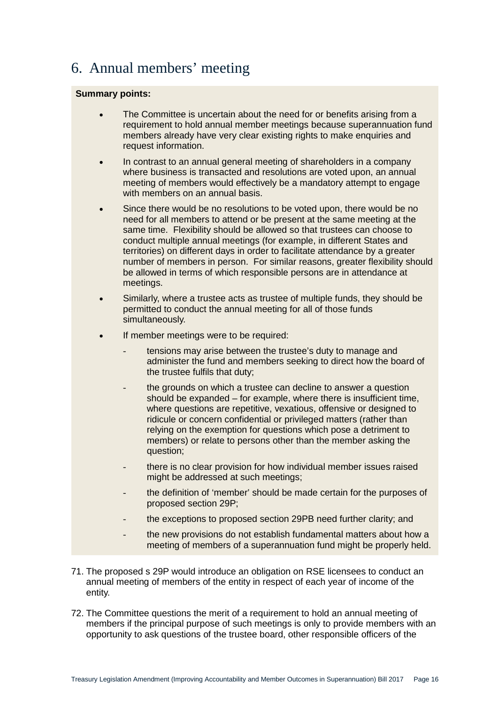## <span id="page-15-0"></span>6. Annual members' meeting

- The Committee is uncertain about the need for or benefits arising from a requirement to hold annual member meetings because superannuation fund members already have very clear existing rights to make enquiries and request information.
- In contrast to an annual general meeting of shareholders in a company where business is transacted and resolutions are voted upon, an annual meeting of members would effectively be a mandatory attempt to engage with members on an annual basis.
- Since there would be no resolutions to be voted upon, there would be no need for all members to attend or be present at the same meeting at the same time. Flexibility should be allowed so that trustees can choose to conduct multiple annual meetings (for example, in different States and territories) on different days in order to facilitate attendance by a greater number of members in person. For similar reasons, greater flexibility should be allowed in terms of which responsible persons are in attendance at meetings.
- Similarly, where a trustee acts as trustee of multiple funds, they should be permitted to conduct the annual meeting for all of those funds simultaneously.
- If member meetings were to be required:
	- tensions may arise between the trustee's duty to manage and administer the fund and members seeking to direct how the board of the trustee fulfils that duty;
	- the grounds on which a trustee can decline to answer a question should be expanded – for example, where there is insufficient time, where questions are repetitive, vexatious, offensive or designed to ridicule or concern confidential or privileged matters (rather than relying on the exemption for questions which pose a detriment to members) or relate to persons other than the member asking the question;
	- there is no clear provision for how individual member issues raised might be addressed at such meetings;
	- the definition of 'member' should be made certain for the purposes of proposed section 29P;
	- the exceptions to proposed section 29PB need further clarity; and
	- the new provisions do not establish fundamental matters about how a meeting of members of a superannuation fund might be properly held.
- 71. The proposed s 29P would introduce an obligation on RSE licensees to conduct an annual meeting of members of the entity in respect of each year of income of the entity.
- 72. The Committee questions the merit of a requirement to hold an annual meeting of members if the principal purpose of such meetings is only to provide members with an opportunity to ask questions of the trustee board, other responsible officers of the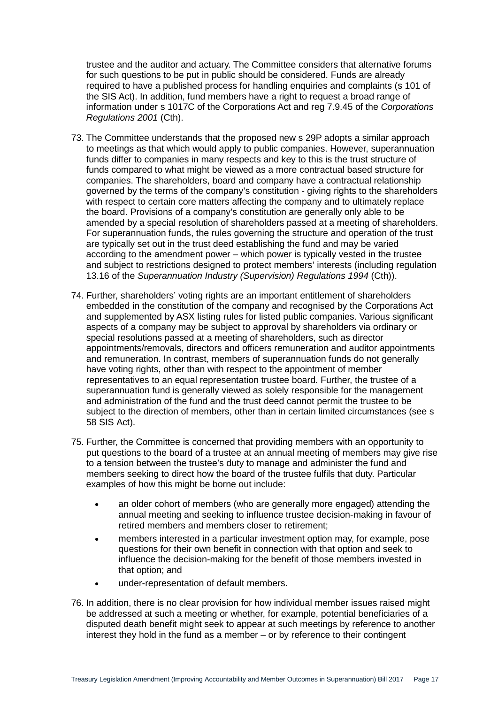trustee and the auditor and actuary. The Committee considers that alternative forums for such questions to be put in public should be considered. Funds are already required to have a published process for handling enquiries and complaints (s 101 of the SIS Act). In addition, fund members have a right to request a broad range of information under s 1017C of the Corporations Act and reg 7.9.45 of the *Corporations Regulations 2001* (Cth).

- 73. The Committee understands that the proposed new s 29P adopts a similar approach to meetings as that which would apply to public companies. However, superannuation funds differ to companies in many respects and key to this is the trust structure of funds compared to what might be viewed as a more contractual based structure for companies. The shareholders, board and company have a contractual relationship governed by the terms of the company's constitution - giving rights to the shareholders with respect to certain core matters affecting the company and to ultimately replace the board. Provisions of a company's constitution are generally only able to be amended by a special resolution of shareholders passed at a meeting of shareholders. For superannuation funds, the rules governing the structure and operation of the trust are typically set out in the trust deed establishing the fund and may be varied according to the amendment power – which power is typically vested in the trustee and subject to restrictions designed to protect members' interests (including regulation 13.16 of the *Superannuation Industry (Supervision) Regulations 1994* (Cth)).
- 74. Further, shareholders' voting rights are an important entitlement of shareholders embedded in the constitution of the company and recognised by the Corporations Act and supplemented by ASX listing rules for listed public companies. Various significant aspects of a company may be subject to approval by shareholders via ordinary or special resolutions passed at a meeting of shareholders, such as director appointments/removals, directors and officers remuneration and auditor appointments and remuneration. In contrast, members of superannuation funds do not generally have voting rights, other than with respect to the appointment of member representatives to an equal representation trustee board. Further, the trustee of a superannuation fund is generally viewed as solely responsible for the management and administration of the fund and the trust deed cannot permit the trustee to be subject to the direction of members, other than in certain limited circumstances (see s 58 SIS Act).
- 75. Further, the Committee is concerned that providing members with an opportunity to put questions to the board of a trustee at an annual meeting of members may give rise to a tension between the trustee's duty to manage and administer the fund and members seeking to direct how the board of the trustee fulfils that duty. Particular examples of how this might be borne out include:
	- an older cohort of members (who are generally more engaged) attending the annual meeting and seeking to influence trustee decision-making in favour of retired members and members closer to retirement;
	- members interested in a particular investment option may, for example, pose questions for their own benefit in connection with that option and seek to influence the decision-making for the benefit of those members invested in that option; and
	- under-representation of default members.
- 76. In addition, there is no clear provision for how individual member issues raised might be addressed at such a meeting or whether, for example, potential beneficiaries of a disputed death benefit might seek to appear at such meetings by reference to another interest they hold in the fund as a member – or by reference to their contingent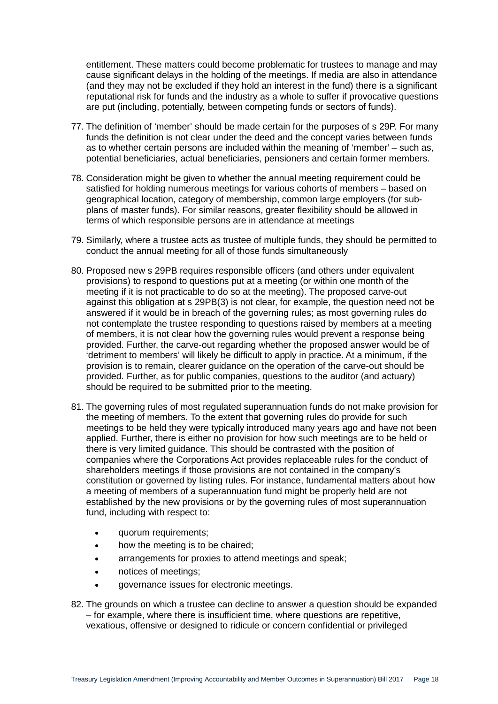entitlement. These matters could become problematic for trustees to manage and may cause significant delays in the holding of the meetings. If media are also in attendance (and they may not be excluded if they hold an interest in the fund) there is a significant reputational risk for funds and the industry as a whole to suffer if provocative questions are put (including, potentially, between competing funds or sectors of funds).

- 77. The definition of 'member' should be made certain for the purposes of s 29P. For many funds the definition is not clear under the deed and the concept varies between funds as to whether certain persons are included within the meaning of 'member' – such as, potential beneficiaries, actual beneficiaries, pensioners and certain former members.
- 78. Consideration might be given to whether the annual meeting requirement could be satisfied for holding numerous meetings for various cohorts of members – based on geographical location, category of membership, common large employers (for subplans of master funds). For similar reasons, greater flexibility should be allowed in terms of which responsible persons are in attendance at meetings
- 79. Similarly, where a trustee acts as trustee of multiple funds, they should be permitted to conduct the annual meeting for all of those funds simultaneously
- 80. Proposed new s 29PB requires responsible officers (and others under equivalent provisions) to respond to questions put at a meeting (or within one month of the meeting if it is not practicable to do so at the meeting). The proposed carve-out against this obligation at s 29PB(3) is not clear, for example, the question need not be answered if it would be in breach of the governing rules; as most governing rules do not contemplate the trustee responding to questions raised by members at a meeting of members, it is not clear how the governing rules would prevent a response being provided. Further, the carve-out regarding whether the proposed answer would be of 'detriment to members' will likely be difficult to apply in practice. At a minimum, if the provision is to remain, clearer guidance on the operation of the carve-out should be provided. Further, as for public companies, questions to the auditor (and actuary) should be required to be submitted prior to the meeting.
- 81. The governing rules of most regulated superannuation funds do not make provision for the meeting of members. To the extent that governing rules do provide for such meetings to be held they were typically introduced many years ago and have not been applied. Further, there is either no provision for how such meetings are to be held or there is very limited guidance. This should be contrasted with the position of companies where the Corporations Act provides replaceable rules for the conduct of shareholders meetings if those provisions are not contained in the company's constitution or governed by listing rules. For instance, fundamental matters about how a meeting of members of a superannuation fund might be properly held are not established by the new provisions or by the governing rules of most superannuation fund, including with respect to:
	- quorum requirements;
	- how the meeting is to be chaired;
	- arrangements for proxies to attend meetings and speak;
	- notices of meetings;
	- governance issues for electronic meetings.
- 82. The grounds on which a trustee can decline to answer a question should be expanded – for example, where there is insufficient time, where questions are repetitive, vexatious, offensive or designed to ridicule or concern confidential or privileged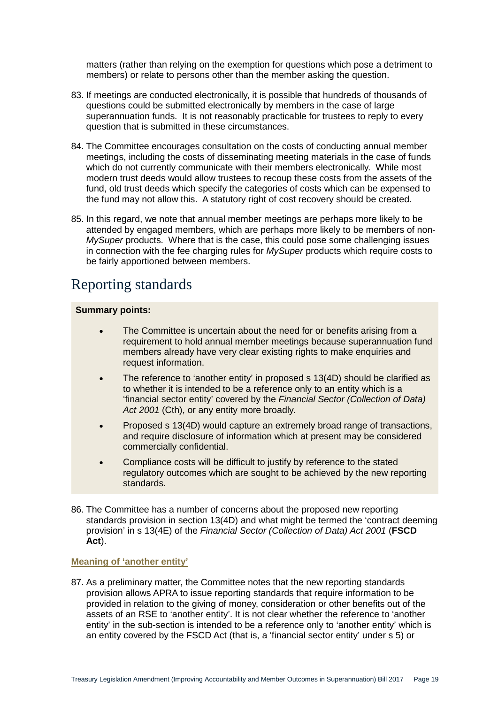matters (rather than relying on the exemption for questions which pose a detriment to members) or relate to persons other than the member asking the question.

- 83. If meetings are conducted electronically, it is possible that hundreds of thousands of questions could be submitted electronically by members in the case of large superannuation funds. It is not reasonably practicable for trustees to reply to every question that is submitted in these circumstances.
- 84. The Committee encourages consultation on the costs of conducting annual member meetings, including the costs of disseminating meeting materials in the case of funds which do not currently communicate with their members electronically. While most modern trust deeds would allow trustees to recoup these costs from the assets of the fund, old trust deeds which specify the categories of costs which can be expensed to the fund may not allow this. A statutory right of cost recovery should be created.
- 85. In this regard, we note that annual member meetings are perhaps more likely to be attended by engaged members, which are perhaps more likely to be members of non-*MySuper* products. Where that is the case, this could pose some challenging issues in connection with the fee charging rules for *MySuper* products which require costs to be fairly apportioned between members.

### <span id="page-18-0"></span>Reporting standards

#### **Summary points:**

- The Committee is uncertain about the need for or benefits arising from a requirement to hold annual member meetings because superannuation fund members already have very clear existing rights to make enquiries and request information.
- The reference to 'another entity' in proposed s 13(4D) should be clarified as to whether it is intended to be a reference only to an entity which is a 'financial sector entity' covered by the *Financial Sector (Collection of Data) Act 2001* (Cth), or any entity more broadly.
- Proposed s 13(4D) would capture an extremely broad range of transactions, and require disclosure of information which at present may be considered commercially confidential.
- Compliance costs will be difficult to justify by reference to the stated regulatory outcomes which are sought to be achieved by the new reporting standards.
- 86. The Committee has a number of concerns about the proposed new reporting standards provision in section 13(4D) and what might be termed the 'contract deeming provision' in s 13(4E) of the *Financial Sector (Collection of Data) Act 2001* (**FSCD Act**).

**Meaning of 'another entity'**

87. As a preliminary matter, the Committee notes that the new reporting standards provision allows APRA to issue reporting standards that require information to be provided in relation to the giving of money, consideration or other benefits out of the assets of an RSE to 'another entity'. It is not clear whether the reference to 'another entity' in the sub-section is intended to be a reference only to 'another entity' which is an entity covered by the FSCD Act (that is, a 'financial sector entity' under s 5) or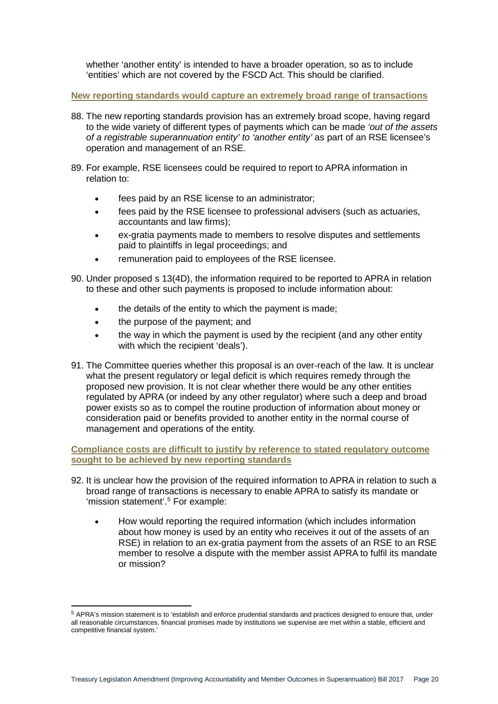whether 'another entity' is intended to have a broader operation, so as to include 'entities' which are not covered by the FSCD Act. This should be clarified.

**New reporting standards would capture an extremely broad range of transactions**

- 88. The new reporting standards provision has an extremely broad scope, having regard to the wide variety of different types of payments which can be made *'out of the assets of a registrable superannuation entity' to 'another entity'* as part of an RSE licensee's operation and management of an RSE.
- 89. For example, RSE licensees could be required to report to APRA information in relation to:
	- fees paid by an RSE license to an administrator:
	- fees paid by the RSE licensee to professional advisers (such as actuaries, accountants and law firms);
	- ex-gratia payments made to members to resolve disputes and settlements paid to plaintiffs in legal proceedings; and
	- remuneration paid to employees of the RSE licensee.
- 90. Under proposed s 13(4D), the information required to be reported to APRA in relation to these and other such payments is proposed to include information about:
	- the details of the entity to which the payment is made;
	- the purpose of the payment; and
	- the way in which the payment is used by the recipient (and any other entity with which the recipient 'deals').
- 91. The Committee queries whether this proposal is an over-reach of the law. It is unclear what the present regulatory or legal deficit is which requires remedy through the proposed new provision. It is not clear whether there would be any other entities regulated by APRA (or indeed by any other regulator) where such a deep and broad power exists so as to compel the routine production of information about money or consideration paid or benefits provided to another entity in the normal course of management and operations of the entity.

**Compliance costs are difficult to justify by reference to stated regulatory outcome sought to be achieved by new reporting standards**

- 92. It is unclear how the provision of the required information to APRA in relation to such a broad range of transactions is necessary to enable APRA to satisfy its mandate or 'mission statement'. [5](#page-19-0) For example:
	- How would reporting the required information (which includes information about how money is used by an entity who receives it out of the assets of an RSE) in relation to an ex-gratia payment from the assets of an RSE to an RSE member to resolve a dispute with the member assist APRA to fulfil its mandate or mission?

<span id="page-19-0"></span> <sup>5</sup> APRA's mission statement is to 'establish and enforce prudential standards and practices designed to ensure that, under all reasonable circumstances, financial promises made by institutions we supervise are met within a stable, efficient and competitive financial system.'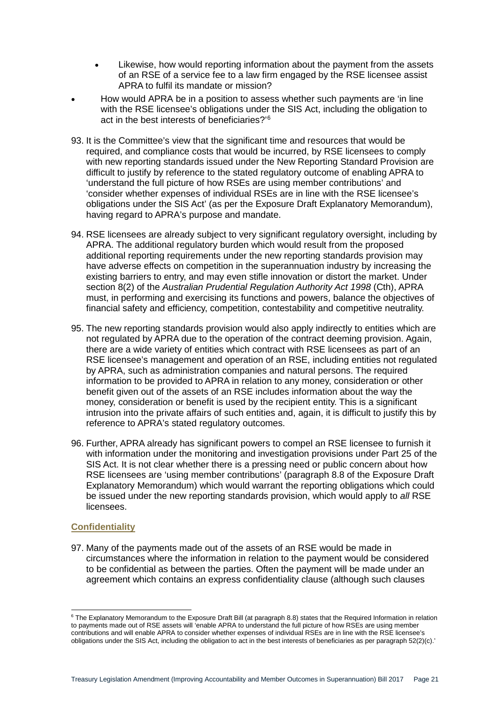- Likewise, how would reporting information about the payment from the assets of an RSE of a service fee to a law firm engaged by the RSE licensee assist APRA to fulfil its mandate or mission?
- How would APRA be in a position to assess whether such payments are 'in line with the RSE licensee's obligations under the SIS Act, including the obligation to act in the best interests of beneficiaries?'[6](#page-20-0)
- 93. It is the Committee's view that the significant time and resources that would be required, and compliance costs that would be incurred, by RSE licensees to comply with new reporting standards issued under the New Reporting Standard Provision are difficult to justify by reference to the stated regulatory outcome of enabling APRA to 'understand the full picture of how RSEs are using member contributions' and 'consider whether expenses of individual RSEs are in line with the RSE licensee's obligations under the SIS Act' (as per the Exposure Draft Explanatory Memorandum), having regard to APRA's purpose and mandate.
- 94. RSE licensees are already subject to very significant regulatory oversight, including by APRA. The additional regulatory burden which would result from the proposed additional reporting requirements under the new reporting standards provision may have adverse effects on competition in the superannuation industry by increasing the existing barriers to entry, and may even stifle innovation or distort the market. Under section 8(2) of the *Australian Prudential Regulation Authority Act 1998* (Cth), APRA must, in performing and exercising its functions and powers, balance the objectives of financial safety and efficiency, competition, contestability and competitive neutrality.
- 95. The new reporting standards provision would also apply indirectly to entities which are not regulated by APRA due to the operation of the contract deeming provision. Again, there are a wide variety of entities which contract with RSE licensees as part of an RSE licensee's management and operation of an RSE, including entities not regulated by APRA, such as administration companies and natural persons. The required information to be provided to APRA in relation to any money, consideration or other benefit given out of the assets of an RSE includes information about the way the money, consideration or benefit is used by the recipient entity. This is a significant intrusion into the private affairs of such entities and, again, it is difficult to justify this by reference to APRA's stated regulatory outcomes.
- 96. Further, APRA already has significant powers to compel an RSE licensee to furnish it with information under the monitoring and investigation provisions under Part 25 of the SIS Act. It is not clear whether there is a pressing need or public concern about how RSE licensees are 'using member contributions' (paragraph 8.8 of the Exposure Draft Explanatory Memorandum) which would warrant the reporting obligations which could be issued under the new reporting standards provision, which would apply to *all* RSE licensees.

#### **Confidentiality**

97. Many of the payments made out of the assets of an RSE would be made in circumstances where the information in relation to the payment would be considered to be confidential as between the parties. Often the payment will be made under an agreement which contains an express confidentiality clause (although such clauses

<span id="page-20-0"></span><sup>&</sup>lt;sup>6</sup> The Explanatory Memorandum to the Exposure Draft Bill (at paragraph 8.8) states that the Required Information in relation to payments made out of RSE assets will 'enable APRA to understand the full picture of how RSEs are using member contributions and will enable APRA to consider whether expenses of individual RSEs are in line with the RSE licensee's obligations under the SIS Act, including the obligation to act in the best interests of beneficiaries as per paragraph 52(2)(c).'